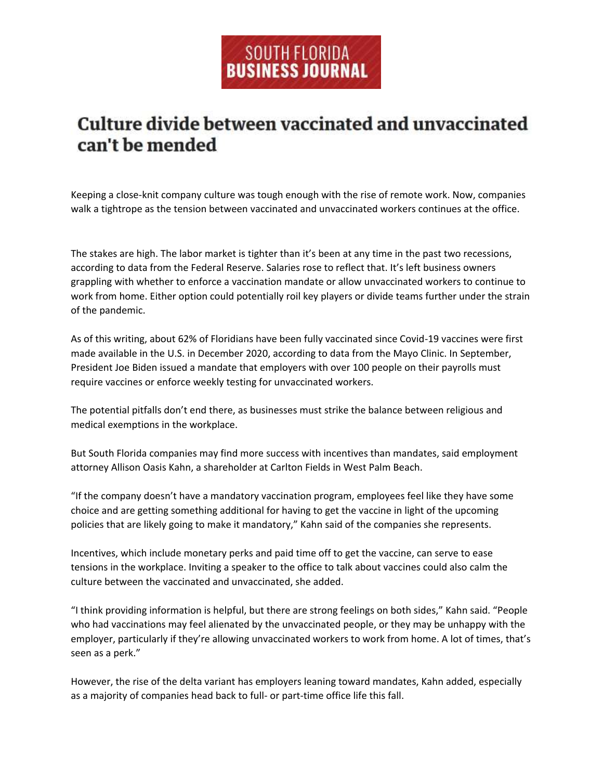## SOUTH FLORIDA<br>BUSINESS JOURNAL

## **Culture divide between vaccinated and unvaccinated** can't be mended

Keeping a close-knit company culture was tough enough with the rise of remote work. Now, companies walk a tightrope as the tension between vaccinated and unvaccinated workers continues at the office.

The stakes are high. The labor market is tighter than it's been at any time in the past two recessions, according to data from the Federal Reserve. Salaries rose to reflect that. It's left business owners grappling with whether to enforce a vaccination mandate or allow unvaccinated workers to continue to work from home. Either option could potentially roil key players or divide teams further under the strain of the pandemic.

As of this writing, about 62% of Floridians have been fully vaccinated since Covid-19 vaccines were first made available in the U.S. in December 2020, according to data from the Mayo Clinic. In September, President Joe Biden issued a mandate that employers with over 100 people on their payrolls must require vaccines or enforce weekly testing for unvaccinated workers.

The potential pitfalls don't end there, as businesses must strike the balance between religious and medical exemptions in the workplace.

But South Florida companies may find more success with incentives than mandates, said employment attorney Allison Oasis Kahn, a shareholder at Carlton Fields in West Palm Beach.

"If the company doesn't have a mandatory vaccination program, employees feel like they have some choice and are getting something additional for having to get the vaccine in light of the upcoming policies that are likely going to make it mandatory," Kahn said of the companies she represents.

Incentives, which include monetary perks and paid time off to get the vaccine, can serve to ease tensions in the workplace. Inviting a speaker to the office to talk about vaccines could also calm the culture between the vaccinated and unvaccinated, she added.

"I think providing information is helpful, but there are strong feelings on both sides," Kahn said. "People who had vaccinations may feel alienated by the unvaccinated people, or they may be unhappy with the employer, particularly if they're allowing unvaccinated workers to work from home. A lot of times, that's seen as a perk."

However, the rise of the delta variant has employers leaning toward mandates, Kahn added, especially as a majority of companies head back to full- or part-time office life this fall.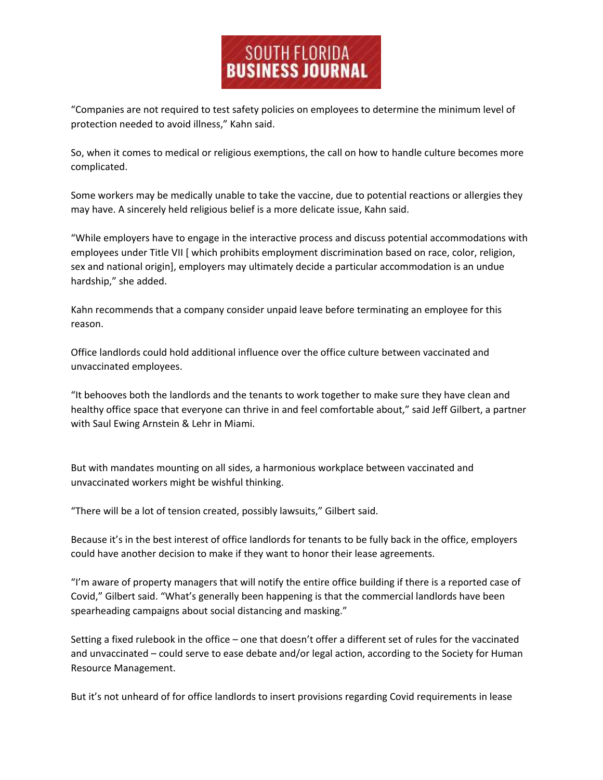## SOUTH FLORIDA<br>BUSINESS JOURNAL

"Companies are not required to test safety policies on employees to determine the minimum level of protection needed to avoid illness," Kahn said.

So, when it comes to medical or religious exemptions, the call on how to handle culture becomes more complicated.

Some workers may be medically unable to take the vaccine, due to potential reactions or allergies they may have. A sincerely held religious belief is a more delicate issue, Kahn said.

"While employers have to engage in the interactive process and discuss potential accommodations with employees under Title VII [ which prohibits employment discrimination based on race, color, religion, sex and national origin], employers may ultimately decide a particular accommodation is an undue hardship," she added.

Kahn recommends that a company consider unpaid leave before terminating an employee for this reason.

Office landlords could hold additional influence over the office culture between vaccinated and unvaccinated employees.

"It behooves both the landlords and the tenants to work together to make sure they have clean and healthy office space that everyone can thrive in and feel comfortable about," said Jeff Gilbert, a partner with Saul Ewing Arnstein & Lehr in Miami.

But with mandates mounting on all sides, a harmonious workplace between vaccinated and unvaccinated workers might be wishful thinking.

"There will be a lot of tension created, possibly lawsuits," Gilbert said.

Because it's in the best interest of office landlords for tenants to be fully back in the office, employers could have another decision to make if they want to honor their lease agreements.

"I'm aware of property managers that will notify the entire office building if there is a reported case of Covid," Gilbert said. "What's generally been happening is that the commercial landlords have been spearheading campaigns about social distancing and masking."

Setting a fixed rulebook in the office – one that doesn't offer a different set of rules for the vaccinated and unvaccinated – could serve to ease debate and/or legal action, according to the Society for Human Resource Management.

But it's not unheard of for office landlords to insert provisions regarding Covid requirements in lease